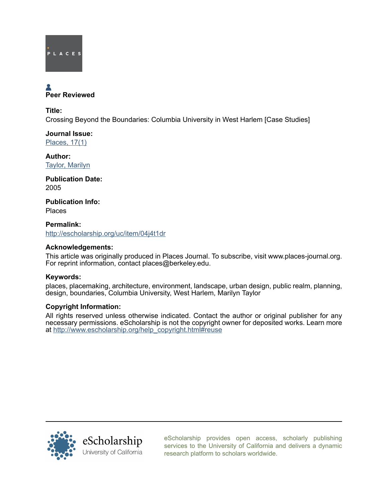

# Peer Reviewed

Title:

Crossing Beyond the Boundaries: Columbia University in West Harlem [Case Studies]

Journal Issue: [Places, 17\(1\)](http://escholarship.org/uc/ced_places?volume=17;issue=1)

Author: [Taylor, Marilyn](http://escholarship.org/uc/search?creator=Taylor%2C%20Marilyn)

Publication Date: 2005

Publication Info: Places

Permalink: <http://escholarship.org/uc/item/04j4t1dr>

## Acknowledgements:

This article was originally produced in Places Journal. To subscribe, visit www.places-journal.org. For reprint information, contact places@berkeley.edu.

### Keywords:

places, placemaking, architecture, environment, landscape, urban design, public realm, planning, design, boundaries, Columbia University, West Harlem, Marilyn Taylor

## Copyright Information:

All rights reserved unless otherwise indicated. Contact the author or original publisher for any necessary permissions. eScholarship is not the copyright owner for deposited works. Learn more at [http://www.escholarship.org/help\\_copyright.html#reuse](http://www.escholarship.org/help_copyright.html#reuse)



[eScholarship provides open access, scholarly publishing](http://escholarship.org) [services to the University of California and delivers a dynamic](http://escholarship.org) [research platform to scholars worldwide.](http://escholarship.org)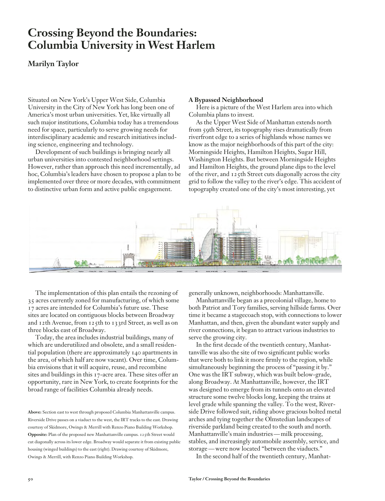## **Crossing Beyond the Boundaries: Columbia University in West Harlem**

## **Marilyn Taylor**

Situated on New York's Upper West Side, Columbia University in the City of New York has long been one of America's most urban universities. Yet, like virtually all such major institutions, Columbia today has a tremendous need for space, particularly to serve growing needs for interdisciplinary academic and research initiatives including science, engineering and technology.

Development of such buildings is bringing nearly all urban universities into contested neighborhood settings. However, rather than approach this need incrementally, ad hoc, Columbia's leaders have chosen to propose a plan to be implemented over three or more decades, with commitment to distinctive urban form and active public engagement.

#### **A Bypassed Neighborhood**

Here is a picture of the West Harlem area into which Columbia plans to invest.

As the Upper West Side of Manhattan extends north from 59th Street, its topography rises dramatically from riverfront edge to a series of highlands whose names we know as the major neighborhoods of this part of the city: Morningside Heights, Hamilton Heights, Sugar Hill, Washington Heights. But between Morningside Heights and Hamilton Heights, the ground plane dips to the level of the river, and 125th Street cuts diagonally across the city grid to follow the valley to the river's edge. This accident of topography created one of the city's most interesting, yet



The implementation of this plan entails the rezoning of 35 acres currently zoned for manufacturing, of which some 17 acres are intended for Columbia's future use. These sites are located on contiguous blocks between Broadway and 12th Avenue, from 125th to 133rd Street, as well as on three blocks east of Broadway.

Today, the area includes industrial buildings, many of which are underutilized and obsolete, and a small residential population (there are approximately 140 apartments in the area, of which half are now vacant). Over time, Columbia envisions that it will acquire, reuse, and recombine sites and buildings in this 17-acre area. These sites offer an opportunity, rare in New York, to create footprints for the broad range of facilities Columbia already needs.

**Above:** Section east to west through proposed Columbia Manhattanville campus. Riverside Drive passes on a viaduct to the west, the IRT tracks to the east. Drawing courtesy of Skidmore, Owings & Merrill with Renzo Piano Building Workshop. **Opposite:** Plan of the proposed new Manhattanville campus. 125th Street would cut diagonally across its lower edge. Broadway would separate it from existing public housing (winged buildings) to the east (right). Drawing courtesy of Skidmore, Owings & Merrill, with Renzo Piano Building Workshop.

generally unknown, neighborhoods: Manhattanville.

Manhattanville began as a precolonial village, home to both Patriot and Tory families, serving hillside farms. Over time it became a stagecoach stop, with connections to lower Manhattan, and then, given the abundant water supply and river connections, it began to attract various industries to serve the growing city.

In the first decade of the twentieth century, Manhattanville was also the site of two significant public works that were both to link it more firmly to the region, while simultaneously beginning the process of "passing it by." One was the IRT subway, which was built below-grade, along Broadway. At Manhattanville, however, the IRT was designed to emerge from its tunnels onto an elevated structure some twelve blocks long, keeping the trains at level grade while spanning the valley. To the west, Riverside Drive followed suit, riding above gracious bolted metal arches and tying together the Olmstedian landscapes of riverside parkland being created to the south and north. Manhattanville's main industries — milk processing, stables, and increasingly automobile assembly, service, and storage — were now located "between the viaducts."

In the second half of the twentieth century, Manhat-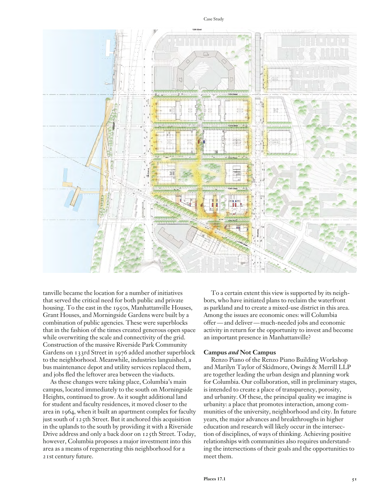#### Case Study



tanville became the location for a number of initiatives that served the critical need for both public and private housing. To the east in the 1950s, Manhattanville Houses, Grant Houses, and Morningside Gardens were built by a combination of public agencies. These were superblocks that in the fashion of the times created generous open space while overwriting the scale and connectivity of the grid. Construction of the massive Riverside Park Community Gardens on 133rd Street in 1976 added another superblock to the neighborhood. Meanwhile, industries languished, a bus maintenance depot and utility services replaced them, and jobs fled the leftover area between the viaducts.

As these changes were taking place, Columbia's main campus, located immediately to the south on Morningside Heights, continued to grow. As it sought additional land for student and faculty residences, it moved closer to the area in 1964, when it built an apartment complex for faculty just south of 125th Street. But it anchored this acquisition in the uplands to the south by providing it with a Riverside Drive address and only a back door on 125th Street. Today, however, Columbia proposes a major investment into this area as a means of regenerating this neighborhood for a 21st century future.

To a certain extent this view is supported by its neighbors, who have initiated plans to reclaim the waterfront as parkland and to create a mixed-use district in this area. Among the issues are economic ones: will Columbia offer — and deliver — much-needed jobs and economic activity in return for the opportunity to invest and become an important presence in Manhattanville?

#### **Campus** *and* **Not Campus**

Renzo Piano of the Renzo Piano Building Workshop and Marilyn Taylor of Skidmore, Owings & Merrill LLP are together leading the urban design and planning work for Columbia. Our collaboration, still in preliminary stages, is intended to create a place of transparency, porosity, and urbanity. Of these, the principal quality we imagine is urbanity: a place that promotes interaction, among communities of the university, neighborhood and city. In future years, the major advances and breakthroughs in higher education and research will likely occur in the intersection of disciplines, of ways of thinking. Achieving positive relationships with communities also requires understanding the intersections of their goals and the opportunities to meet them.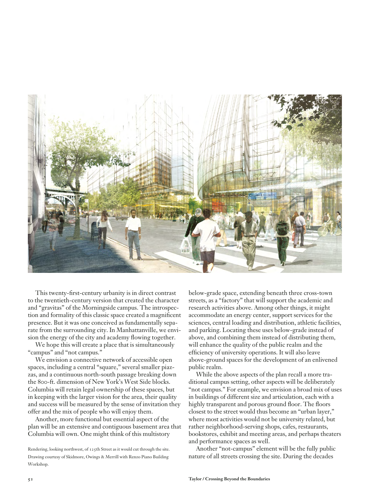

This twenty-first-century urbanity is in direct contrast to the twentieth-century version that created the character and "gravitas" of the Morningside campus. The introspection and formality of this classic space created a magnificent presence. But it was one conceived as fundamentally separate from the surrounding city. In Manhattanville, we envision the energy of the city and academy flowing together.

We hope this will create a place that is simultaneously "campus" and "not campus."

We envision a connective network of accessible open spaces, including a central "square," several smaller piazzas, and a continuous north-south passage breaking down the 800-ft. dimension of New York's West Side blocks. Columbia will retain legal ownership of these spaces, but in keeping with the larger vision for the area, their quality and success will be measured by the sense of invitation they offer and the mix of people who will enjoy them.

Another, more functional but essential aspect of the plan will be an extensive and contiguous basement area that Columbia will own. One might think of this multistory

Rendering, looking northwest, of 125th Street as it would cut through the site. Drawing courtesy of Skidmore, Owings & Merrill with Renzo Piano Building Workshop.

below-grade space, extending beneath three cross-town streets, as a "factory" that will support the academic and research activities above. Among other things, it might accommodate an energy center, support services for the sciences, central loading and distribution, athletic facilities, and parking. Locating these uses below-grade instead of above, and combining them instead of distributing them, will enhance the quality of the public realm and the efficiency of university operations. It will also leave above-ground spaces for the development of an enlivened public realm.

While the above aspects of the plan recall a more traditional campus setting, other aspects will be deliberately "not campus." For example, we envision a broad mix of uses in buildings of different size and articulation, each with a highly transparent and porous ground floor. The floors closest to the street would thus become an "urban layer," where most activities would not be university related, but rather neighborhood-serving shops, cafes, restaurants, bookstores, exhibit and meeting areas, and perhaps theaters and performance spaces as well.

Another "not-campus" element will be the fully public nature of all streets crossing the site. During the decades